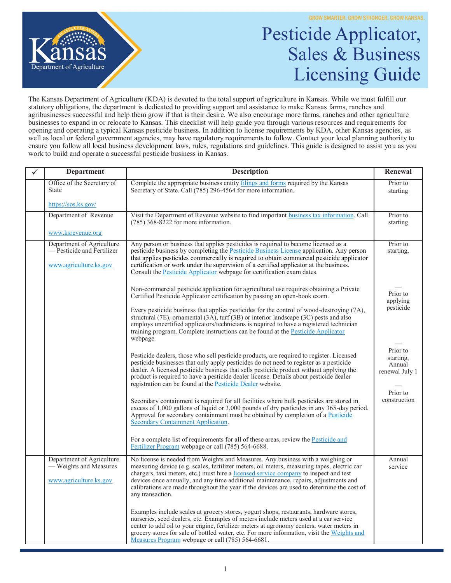

## Pesticide Applicator, Sales & Business Licensing Guide

The Kansas Department of Agriculture (KDA) is devoted to the total support of agriculture in Kansas. While we must fulfill our statutory obligations, the department is dedicated to providing support and assistance to make Kansas farms, ranches and agribusinesses successful and help them grow if that is their desire. We also encourage more farms, ranches and other agriculture businesses to expand in or relocate to Kansas. This checklist will help guide you through various resources and requirements for opening and operating a typical Kansas pesticide business. In addition to license requirements by KDA, other Kansas agencies, as well as local or federal government agencies, may have regulatory requirements to follow. Contact your local planning authority to ensure you follow all local business development laws, rules, regulations and guidelines. This guide is designed to assist you as you work to build and operate a successful pesticide business in Kansas.

| Department                                                                        | <b>Description</b>                                                                                                                                                                                                                                                                                                                                                                                                                                                                                                                        | Renewal                                                       |
|-----------------------------------------------------------------------------------|-------------------------------------------------------------------------------------------------------------------------------------------------------------------------------------------------------------------------------------------------------------------------------------------------------------------------------------------------------------------------------------------------------------------------------------------------------------------------------------------------------------------------------------------|---------------------------------------------------------------|
| Office of the Secretary of<br><b>State</b>                                        | Complete the appropriate business entity filings and forms required by the Kansas<br>Secretary of State. Call (785) 296-4564 for more information.                                                                                                                                                                                                                                                                                                                                                                                        | Prior to<br>starting                                          |
| https://sos.ks.gov/                                                               |                                                                                                                                                                                                                                                                                                                                                                                                                                                                                                                                           |                                                               |
| Department of Revenue                                                             | Visit the Department of Revenue website to find important business tax information. Call<br>$(785)$ 368-8222 for more information.                                                                                                                                                                                                                                                                                                                                                                                                        | Prior to<br>starting                                          |
| www.ksrevenue.org                                                                 |                                                                                                                                                                                                                                                                                                                                                                                                                                                                                                                                           |                                                               |
| Department of Agriculture<br>— Pesticide and Fertilizer<br>www.agriculture.ks.gov | Any person or business that applies pesticides is required to become licensed as a<br>pesticide business by completing the Pesticide Business License application. Any person<br>that applies pesticides commercially is required to obtain commercial pesticide applicator<br>certification or work under the supervision of a certified applicator at the business.<br>Consult the <b>Pesticide Applicator</b> webpage for certification exam dates.                                                                                    | Prior to<br>starting,                                         |
|                                                                                   | Non-commercial pesticide application for agricultural use requires obtaining a Private<br>Certified Pesticide Applicator certification by passing an open-book exam.<br>Every pesticide business that applies pesticides for the control of wood-destroying (7A),<br>structural (7E), ornamental (3A), turf (3B) or interior landscape (3C) pests and also<br>employs uncertified applicators/technicians is required to have a registered technician<br>training program. Complete instructions can be found at the Pesticide Applicator | Prior to<br>applying<br>pesticide                             |
|                                                                                   | webpage.<br>Pesticide dealers, those who sell pesticide products, are required to register. Licensed<br>pesticide businesses that only apply pesticides do not need to register as a pesticide<br>dealer. A licensed pesticide business that sells pesticide product without applying the<br>product is required to have a pesticide dealer license. Details about pesticide dealer<br>registration can be found at the <b>Pesticide Dealer</b> website.                                                                                  | Prior to<br>starting,<br>Annual<br>renewal July 1<br>Prior to |
|                                                                                   | Secondary containment is required for all facilities where bulk pesticides are stored in<br>excess of 1,000 gallons of liquid or 3,000 pounds of dry pesticides in any 365-day period.<br>Approval for secondary containment must be obtained by completion of a Pesticide<br>Secondary Containment Application.<br>For a complete list of requirements for all of these areas, review the <b>Pesticide and</b><br>Fertilizer Program webpage or call (785) 564-6688.                                                                     | construction                                                  |
| Department of Agriculture<br>— Weights and Measures<br>www.agriculture.ks.gov     | No license is needed from Weights and Measures. Any business with a weighing or<br>measuring device (e.g. scales, fertilizer meters, oil meters, measuring tapes, electric car<br>chargers, taxi meters, etc.) must hire a licensed service company to inspect and test<br>devices once annually, and any time additional maintenance, repairs, adjustments and<br>calibrations are made throughout the year if the devices are used to determine the cost of<br>any transaction.                                                         | Annual<br>service                                             |
|                                                                                   | Examples include scales at grocery stores, yogurt shops, restaurants, hardware stores,<br>nurseries, seed dealers, etc. Examples of meters include meters used at a car service<br>center to add oil to your engine, fertilizer meters at agronomy centers, water meters in<br>grocery stores for sale of bottled water, etc. For more information, visit the Weights and<br>Measures Program webpage or call (785) 564-6681.                                                                                                             |                                                               |